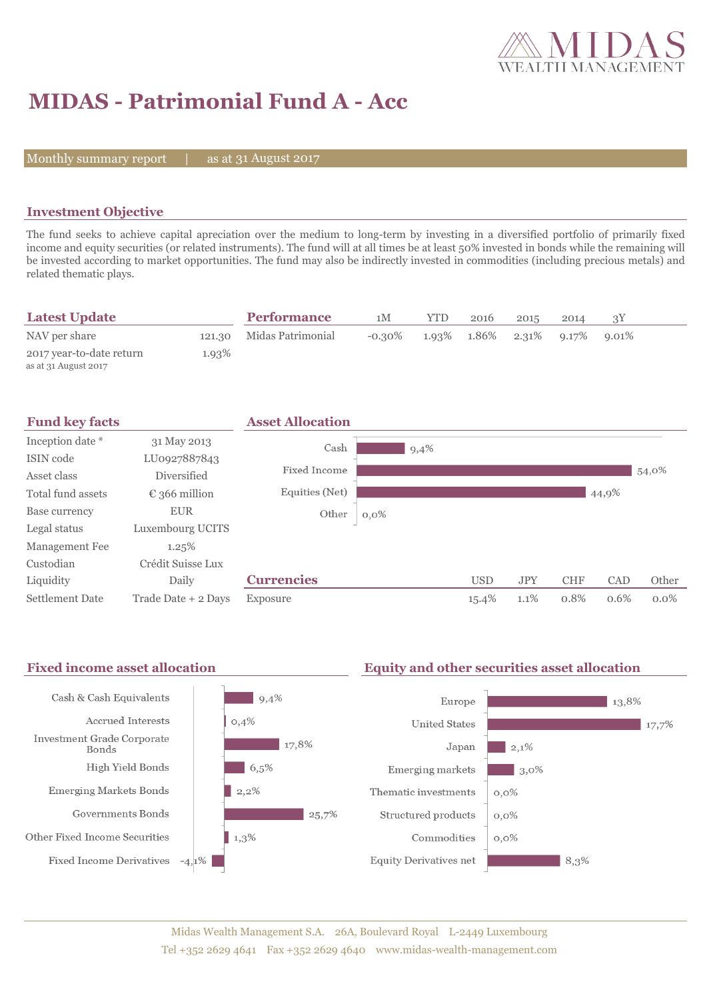

# **MIDAS - Patrimonial Fund A - Acc**

Monthly summary report  $|$ 

as at 31 August 2017

## **Investment Objective**

The fund seeks to achieve capital apreciation over the medium to long-term by investing in a diversified portfolio of primarily fixed income and equity securities (or related instruments). The fund will at all times be at least 50% invested in bonds while the remaining will be invested according to market opportunities. The fund may also be indirectly invested in commodities (including precious metals) and related thematic plays.

| <b>Latest Update</b>                             |       | <b>Performance</b>       | 1M        | YTD | 2016        | 2015        | 2014 |          |  |
|--------------------------------------------------|-------|--------------------------|-----------|-----|-------------|-------------|------|----------|--|
| NAV per share                                    |       | 121.30 Midas Patrimonial | $-0.30\%$ |     | 1.93% 1.86% | 2.31% 9.17% |      | $9.01\%$ |  |
| 2017 year-to-date return<br>as at 31 August 2017 | 1.93% |                          |           |     |             |             |      |          |  |



#### Fixed income asset allocation **Equity and other securities asset allocation** Cash & Cash Equivalents  $9,4%$ Europe  $13,8%$  $0,4%$ **Accrued Interests United States** 17,7% Investment Grade Corporate  $\frac{17,8\%}{ }$  $2,1%$ Japan Bonds High Yield Bonds  $6,5%$ Emerging markets  $3,0\%$ **Emerging Markets Bonds**  $2,2%$ Thematic investments  $0,0\%$ Governments Bonds  $25.7%$ Structured products  $0,0\%$ Other Fixed Income Securities  $\parallel$  1,3% Commodities  $0,0\%$ **Fixed Income Derivatives**  $-4,1\%$ **Equity Derivatives net**  $8.3%$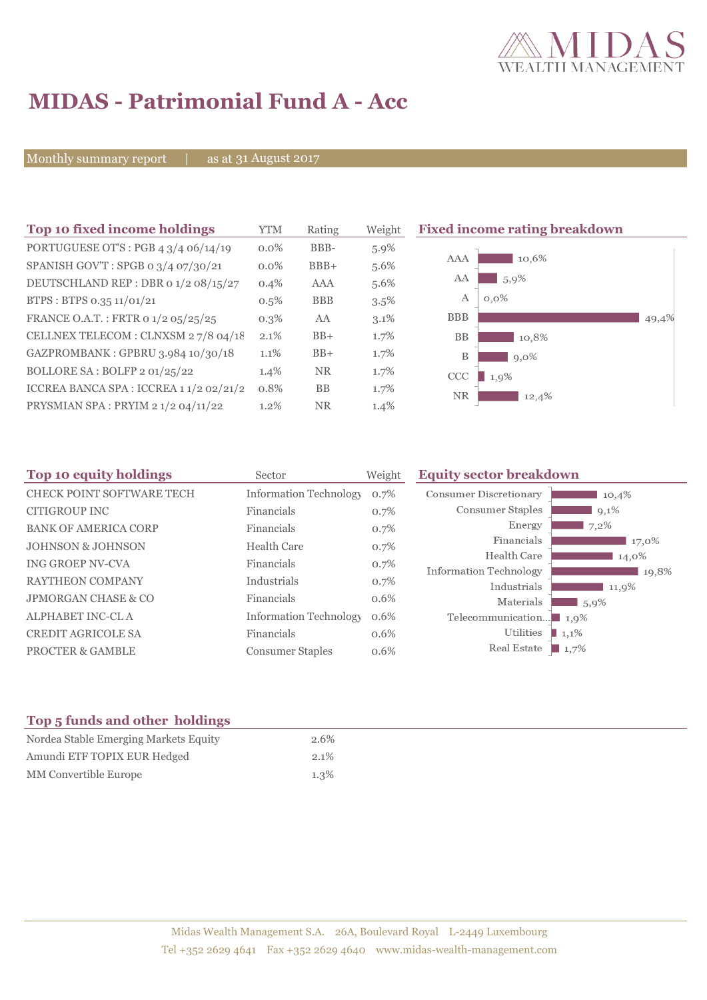

# **MIDAS - Patrimonial Fund A - Acc**

Monthly summary report | as at 31 August 2017

| Top 10 fixed income holdings            | <b>YTM</b> | Rating     | Weight  | <b>Fixed income rating breakdown</b> |
|-----------------------------------------|------------|------------|---------|--------------------------------------|
| PORTUGUESE OT'S : PGB 4 3/4 06/14/19    | $0.0\%$    | BBB-       | $5.9\%$ |                                      |
| SPANISH GOV'T: SPGB 0 3/4 07/30/21      | $0.0\%$    | $BBB+$     | 5.6%    | 10.6%<br>AAA                         |
| DEUTSCHLAND REP : DBR 0 1/2 08/15/27    | $0.4\%$    | AAA        | 5.6%    | AA<br>5,9%                           |
| BTPS: BTPS 0.35 11/01/21                | $0.5\%$    | <b>BBB</b> | $3.5\%$ | А<br>$0.0\%$                         |
| FRANCE O.A.T.: FRTR 0 1/2 05/25/25      | $0.3\%$    | AA         | $3.1\%$ | <b>BBB</b><br>49,4%                  |
| CELLNEX TELECOM : CLNXSM 27/8 04/18     | 2.1%       | $BB+$      | 1.7%    | <b>BB</b><br>10.8%                   |
| GAZPROMBANK: GPBRU 3.984 10/30/18       | 1.1%       | $BB+$      | 1.7%    | B<br>$9,0\%$                         |
| BOLLORE SA: BOLFP 2 01/25/22            | 1.4%       | <b>NR</b>  | 1.7%    | CCC<br>1,9%                          |
| ICCREA BANCA SPA : ICCREA 1 1/2 02/21/2 | 0.8%       | <b>BB</b>  | $1.7\%$ | <b>NR</b><br>12,4%                   |
| PRYSMIAN SPA : PRYIM 2 1/2 04/11/22     | 1.2%       | <b>NR</b>  | $1.4\%$ |                                      |

| Top 10 equity holdings           | Sector                        | Weight | <b>Equity sector breakdown</b>        |          |
|----------------------------------|-------------------------------|--------|---------------------------------------|----------|
| <b>CHECK POINT SOFTWARE TECH</b> | <b>Information Technology</b> | 0.7%   | Consumer Discretionary                | 10,4%    |
| CITIGROUP INC                    | Financials                    | 0.7%   | Consumer Staples                      | $9,1\%$  |
| <b>BANK OF AMERICA CORP</b>      | Financials                    | 0.7%   | Energy                                | 7,2%     |
| <b>JOHNSON &amp; JOHNSON</b>     | <b>Health Care</b>            | 0.7%   | Financials                            | 17,0%    |
| ING GROEP NV-CVA                 | Financials                    | 0.7%   | Health Care                           | 14,0%    |
| <b>RAYTHEON COMPANY</b>          | Industrials                   |        | Information Technology                | 19,8%    |
|                                  |                               | 0.7%   | Industrials                           | 11,9%    |
| <b>JPMORGAN CHASE &amp; CO</b>   | Financials                    | 0.6%   | Materials                             | $15,9\%$ |
| ALPHABET INC-CLA                 | <b>Information Technology</b> | 0.6%   | Telecommunication $\blacksquare$ 1,9% |          |
| <b>CREDIT AGRICOLE SA</b>        | Financials                    | 0.6%   | Utilities<br>1,1%                     |          |
| PROCTER & GAMBLE                 | <b>Consumer Staples</b>       | 0.6%   | Real Estate<br>$\blacksquare$ 1,7%    |          |

# **Top 5 funds and other holdings**

| Nordea Stable Emerging Markets Equity | 2.6%    |
|---------------------------------------|---------|
| Amundi ETF TOPIX EUR Hedged           | $2.1\%$ |
| MM Convertible Europe                 | $1.3\%$ |